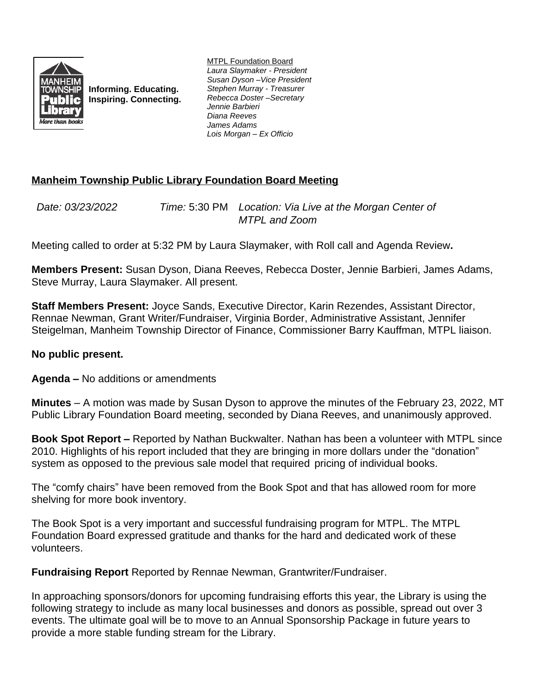

**Informing. Educating. Inspiring. Connecting.** MTPL Foundation Board *Laura Slaymaker - President Susan Dyson –Vice President Stephen Murray - Treasurer Rebecca Doster –Secretary Jennie Barbieri Diana Reeves James Adams Lois Morgan – Ex Officio*

## **Manheim Township Public Library Foundation Board Meeting**

*Date: 03/23/2022 Time:* 5:30 PM *Location: Via Live at the Morgan Center of MTPL and Zoom*

Meeting called to order at 5:32 PM by Laura Slaymaker, with Roll call and Agenda Review**.**

**Members Present:** Susan Dyson, Diana Reeves, Rebecca Doster, Jennie Barbieri, James Adams, Steve Murray, Laura Slaymaker. All present.

**Staff Members Present:** Joyce Sands, Executive Director, Karin Rezendes, Assistant Director, Rennae Newman, Grant Writer/Fundraiser, Virginia Border, Administrative Assistant, Jennifer Steigelman, Manheim Township Director of Finance, Commissioner Barry Kauffman, MTPL liaison.

## **No public present.**

**Agenda –** No additions or amendments

**Minutes** – A motion was made by Susan Dyson to approve the minutes of the February 23, 2022, MT Public Library Foundation Board meeting, seconded by Diana Reeves, and unanimously approved.

**Book Spot Report –** Reported by Nathan Buckwalter. Nathan has been a volunteer with MTPL since 2010. Highlights of his report included that they are bringing in more dollars under the "donation" system as opposed to the previous sale model that required pricing of individual books.

The "comfy chairs" have been removed from the Book Spot and that has allowed room for more shelving for more book inventory.

The Book Spot is a very important and successful fundraising program for MTPL. The MTPL Foundation Board expressed gratitude and thanks for the hard and dedicated work of these volunteers.

**Fundraising Report** Reported by Rennae Newman, Grantwriter/Fundraiser.

In approaching sponsors/donors for upcoming fundraising efforts this year, the Library is using the following strategy to include as many local businesses and donors as possible, spread out over 3 events. The ultimate goal will be to move to an Annual Sponsorship Package in future years to provide a more stable funding stream for the Library.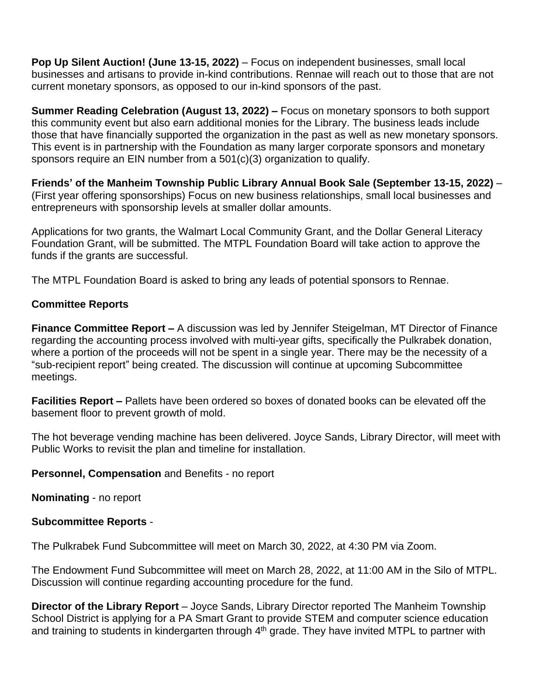**Pop Up Silent Auction! (June 13-15, 2022)** – Focus on independent businesses, small local businesses and artisans to provide in-kind contributions. Rennae will reach out to those that are not current monetary sponsors, as opposed to our in-kind sponsors of the past.

**Summer Reading Celebration (August 13, 2022) – Focus on monetary sponsors to both support** this community event but also earn additional monies for the Library. The business leads include those that have financially supported the organization in the past as well as new monetary sponsors. This event is in partnership with the Foundation as many larger corporate sponsors and monetary sponsors require an EIN number from a 501(c)(3) organization to qualify.

**Friends' of the Manheim Township Public Library Annual Book Sale (September 13-15, 2022)** – (First year offering sponsorships) Focus on new business relationships, small local businesses and entrepreneurs with sponsorship levels at smaller dollar amounts.

Applications for two grants, the Walmart Local Community Grant, and the Dollar General Literacy Foundation Grant, will be submitted. The MTPL Foundation Board will take action to approve the funds if the grants are successful.

The MTPL Foundation Board is asked to bring any leads of potential sponsors to Rennae.

## **Committee Reports**

**Finance Committee Report –** A discussion was led by Jennifer Steigelman, MT Director of Finance regarding the accounting process involved with multi-year gifts, specifically the Pulkrabek donation, where a portion of the proceeds will not be spent in a single year. There may be the necessity of a "sub-recipient report" being created. The discussion will continue at upcoming Subcommittee meetings.

**Facilities Report –** Pallets have been ordered so boxes of donated books can be elevated off the basement floor to prevent growth of mold.

The hot beverage vending machine has been delivered. Joyce Sands, Library Director, will meet with Public Works to revisit the plan and timeline for installation.

**Personnel, Compensation** and Benefits - no report

**Nominating** - no report

## **Subcommittee Reports** -

The Pulkrabek Fund Subcommittee will meet on March 30, 2022, at 4:30 PM via Zoom.

The Endowment Fund Subcommittee will meet on March 28, 2022, at 11:00 AM in the Silo of MTPL. Discussion will continue regarding accounting procedure for the fund.

**Director of the Library Report** – Joyce Sands, Library Director reported The Manheim Township School District is applying for a PA Smart Grant to provide STEM and computer science education and training to students in kindergarten through 4<sup>th</sup> grade. They have invited MTPL to partner with